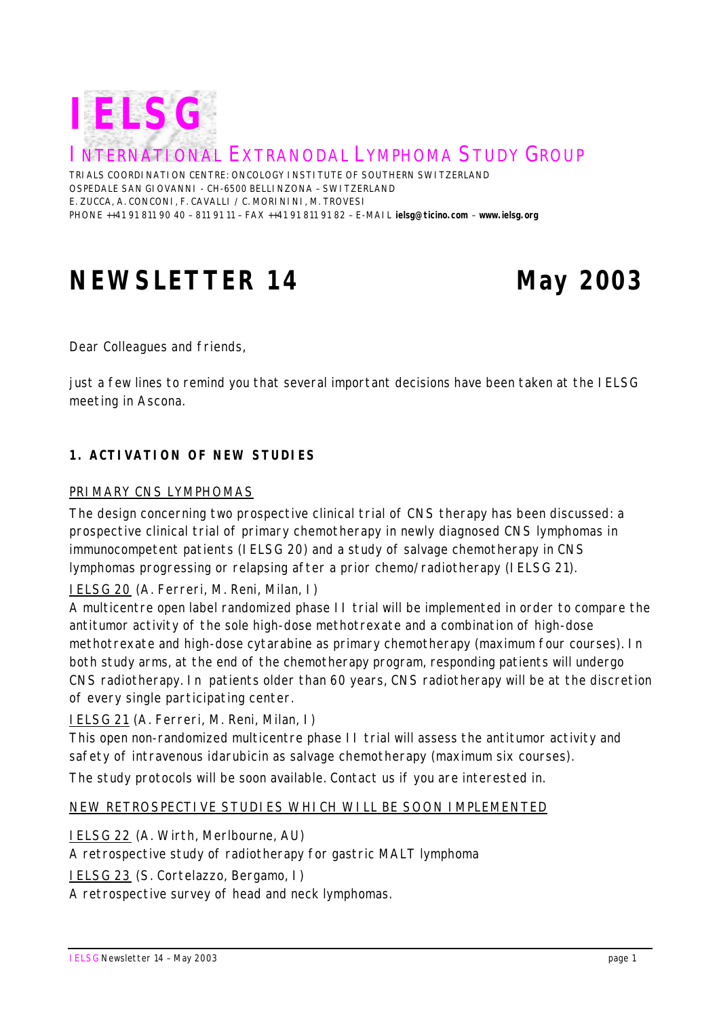

INTERNATIONAL EXTRANODAL LYMPHOMA STUDY GROUP

TRIALS COORDINATION CENTRE: ONCOLOGY INSTITUTE OF SOUTHERN SWITZERLAND OSPEDALE SAN GIOVANNI - CH-6500 BELLINZONA – SWITZERLAND E. ZUCCA, A. CONCONI, F. CAVALLI / C. MORININI, M. TROVESI PHONE ++41 91 811 90 40 – 811 91 11 – FAX ++41 91 811 91 82 – E-MAIL **ielsg@ticino.com** – **www.ielsg.org**

# **NEWSLETTER 14 May 2003**

*Dear Colleagues and friends,*

*just a few lines to remind you that several important decisions have been taken at the IELSG meeting in Ascona.*

# **1. ACTIVATION OF NEW STUDIES**

### PRIMARY CNS LYMPHOMAS

The design concerning two prospective clinical trial of CNS therapy has been discussed: a prospective clinical trial of primary chemotherapy in newly diagnosed CNS lymphomas in immunocompetent patients (IELSG 20) and a study of salvage chemotherapy in CNS lymphomas progressing or relapsing after a prior chemo/radiotherapy (IELSG 21).

# IELSG 20 *(A. Ferreri, M. Reni, Milan, I)*

A multicentre open label randomized phase II trial will be implemented in order to compare the antitumor activity of the sole high-dose methotrexate and a combination of high-dose methotrexate and high-dose cytarabine as primary chemotherapy (maximum four courses). In both study arms, at the end of the chemotherapy program, responding patients will undergo CNS radiotherapy. In patients older than 60 years, CNS radiotherapy will be at the discretion of every single participating center.

IELSG 21 *(A. Ferreri, M. Reni, Milan, I)*

This open non-randomized multicentre phase II trial will assess the antitumor activity and safety of intravenous idarubicin as salvage chemotherapy (maximum six courses).

The study protocols will be soon available. Contact us if you are interested in.

#### NEW RETROSPECTIVE STUDIES WHICH WILL BE SOON IMPLEMENTED

IELSG 22 *(A. Wirth, Merlbourne, AU)* A retrospective study of radiotherapy for gastric MALT lymphoma IELSG 23 *(S. Cortelazzo, Bergamo, I)*

A retrospective survey of head and neck lymphomas.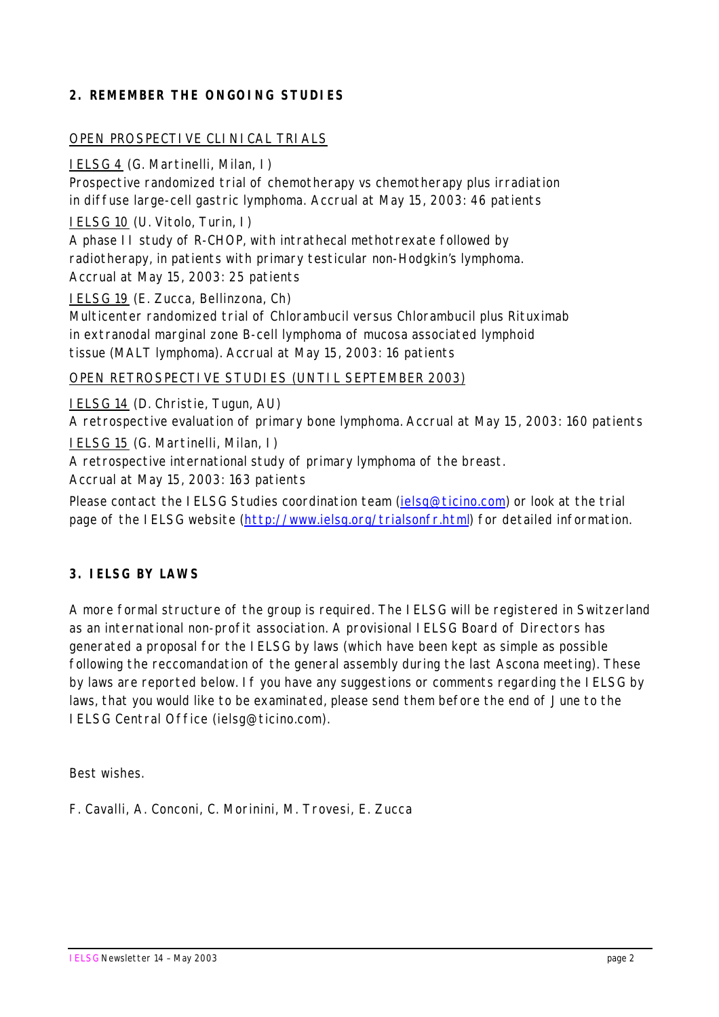# **2. REMEMBER THE ONGOING STUDIES**

## OPEN PROSPECTIVE CLINICAL TRIALS

### IELSG 4 *(G. Martinelli, Milan, I)*

Prospective randomized trial of chemotherapy vs chemotherapy plus irradiation in diffuse large-cell gastric lymphoma. *Accrual at May 15, 2003: 46 patients*

IELSG 10 *(U. Vitolo, Turin, I)*

A phase II study of R-CHOP, with intrathecal methotrexate followed by radiotherapy, in patients with primary testicular non-Hodgkin's lymphoma. *Accrual at May 15, 2003: 25 patients*

IELSG 19 *(E. Zucca, Bellinzona, Ch)*

Multicenter randomized trial of Chlorambucil versus Chlorambucil plus Rituximab in extranodal marginal zone B-cell lymphoma of mucosa associated lymphoid tissue (MALT lymphoma). *Accrual at May 15, 2003: 16 patients*

### OPEN RETROSPECTIVE STUDIES (UNTIL SEPTEMBER 2003)

IELSG 14 *(D. Christie, Tugun, AU)*

A retrospective evaluation of primary bone lymphoma. *Accrual at May 15, 2003: 160 patients*

IELSG 15 *(G. Martinelli, Milan, I)*

A retrospective international study of primary lymphoma of the breast.

*Accrual at May 15, 2003: 163 patients*

Please contact the IELSG Studies coordination team (*ielsg@ticino.com*) or look at the trial page of the IELSG website (http://www.ielsg.org/trialsonfr.html) for detailed information.

# **3. IELSG BY LAWS**

A more formal structure of the group is required. The IELSG will be registered in Switzerland as an international non-profit association. A provisional IELSG Board of Directors has generated a proposal for the IELSG by laws (which have been kept as simple as possible following the reccomandation of the general assembly during the last Ascona meeting). These by laws are reported below. If you have any suggestions or comments regarding the IELSG by laws, that you would like to be examinated, please send them before the end of June to the IELSG Central Office (ielsg@ticino.com).

*Best wishes.*

*F. Cavalli, A. Conconi, C. Morinini, M. Trovesi, E. Zucca*